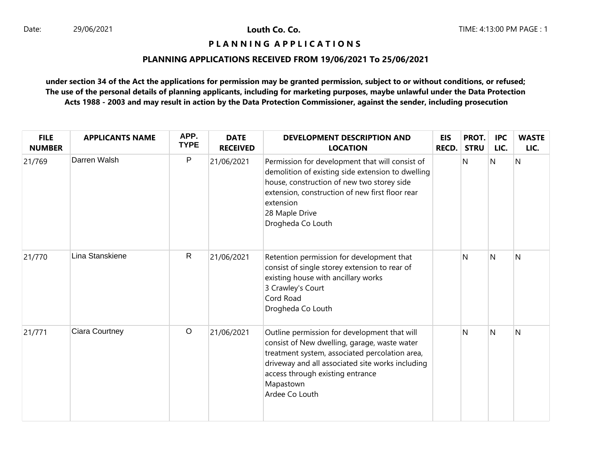# **P L A N N I N G A P P L I C A T I O N S**

# **PLANNING APPLICATIONS RECEIVED FROM 19/06/2021 To 25/06/2021**

| <b>FILE</b><br><b>NUMBER</b> | <b>APPLICANTS NAME</b> | APP.<br><b>TYPE</b> | <b>DATE</b><br><b>RECEIVED</b> | DEVELOPMENT DESCRIPTION AND<br><b>LOCATION</b>                                                                                                                                                                                                                        | EIS<br><b>RECD.</b> | PROT.<br><b>STRU</b> | <b>IPC</b><br>LIC. | <b>WASTE</b><br>LIC. |
|------------------------------|------------------------|---------------------|--------------------------------|-----------------------------------------------------------------------------------------------------------------------------------------------------------------------------------------------------------------------------------------------------------------------|---------------------|----------------------|--------------------|----------------------|
| 21/769                       | Darren Walsh           | P                   | 21/06/2021                     | Permission for development that will consist of<br>demolition of existing side extension to dwelling<br>house, construction of new two storey side<br>extension, construction of new first floor rear<br>extension<br>28 Maple Drive<br>Drogheda Co Louth             |                     | N                    | N                  | N                    |
| 21/770                       | Lina Stanskiene        | $\mathsf{R}$        | 21/06/2021                     | Retention permission for development that<br>consist of single storey extension to rear of<br>existing house with ancillary works<br>3 Crawley's Court<br>Cord Road<br>Drogheda Co Louth                                                                              |                     | N                    | N                  | N                    |
| 21/771                       | Ciara Courtney         | $\circ$             | 21/06/2021                     | Outline permission for development that will<br>consist of New dwelling, garage, waste water<br>treatment system, associated percolation area,<br>driveway and all associated site works including<br>access through existing entrance<br>Mapastown<br>Ardee Co Louth |                     | N                    | N                  | N                    |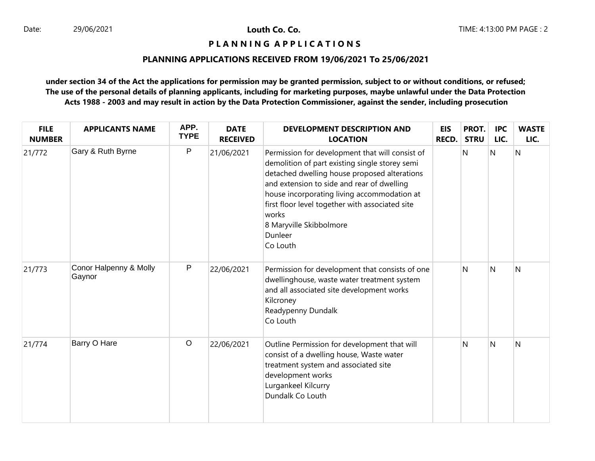## **P L A N N I N G A P P L I C A T I O N S**

# **PLANNING APPLICATIONS RECEIVED FROM 19/06/2021 To 25/06/2021**

| <b>FILE</b><br><b>NUMBER</b> | <b>APPLICANTS NAME</b>           | APP.<br><b>TYPE</b> | <b>DATE</b><br><b>RECEIVED</b> | <b>DEVELOPMENT DESCRIPTION AND</b><br><b>LOCATION</b>                                                                                                                                                                                                                                                                                                        | <b>EIS</b><br><b>RECD.</b> | PROT.<br><b>STRU</b> | <b>IPC</b><br>LIC. | <b>WASTE</b><br>LIC. |
|------------------------------|----------------------------------|---------------------|--------------------------------|--------------------------------------------------------------------------------------------------------------------------------------------------------------------------------------------------------------------------------------------------------------------------------------------------------------------------------------------------------------|----------------------------|----------------------|--------------------|----------------------|
| 21/772                       | Gary & Ruth Byrne                | P                   | 21/06/2021                     | Permission for development that will consist of<br>demolition of part existing single storey semi<br>detached dwelling house proposed alterations<br>and extension to side and rear of dwelling<br>house incorporating living accommodation at<br>first floor level together with associated site<br>works<br>8 Maryville Skibbolmore<br>Dunleer<br>Co Louth |                            | N                    | N                  | $\overline{N}$       |
| 21/773                       | Conor Halpenny & Molly<br>Gaynor | P                   | 22/06/2021                     | Permission for development that consists of one<br>dwellinghouse, waste water treatment system<br>and all associated site development works<br>Kilcroney<br>Readypenny Dundalk<br>Co Louth                                                                                                                                                                   |                            | N                    | <sup>N</sup>       | N                    |
| 21/774                       | Barry O Hare                     | $\circ$             | 22/06/2021                     | Outline Permission for development that will<br>consist of a dwelling house, Waste water<br>treatment system and associated site<br>development works<br>Lurgankeel Kilcurry<br>Dundalk Co Louth                                                                                                                                                             |                            | N                    | N                  | N                    |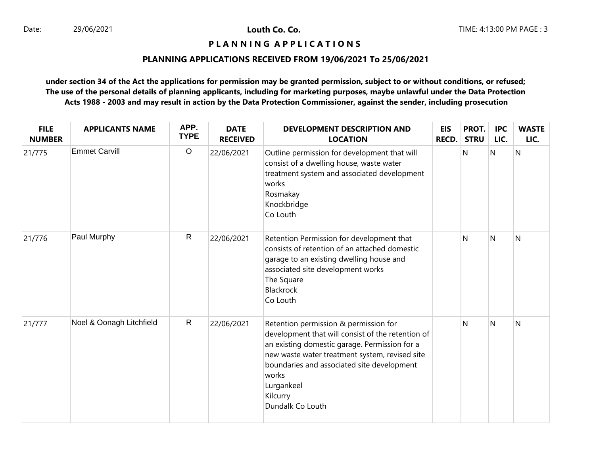## **P L A N N I N G A P P L I C A T I O N S**

# **PLANNING APPLICATIONS RECEIVED FROM 19/06/2021 To 25/06/2021**

| <b>FILE</b><br><b>NUMBER</b> | <b>APPLICANTS NAME</b>   | APP.<br><b>TYPE</b> | <b>DATE</b><br><b>RECEIVED</b> | <b>DEVELOPMENT DESCRIPTION AND</b><br><b>LOCATION</b>                                                                                                                                                                                                                                              | <b>EIS</b><br><b>RECD.</b> | PROT.<br><b>STRU</b> | <b>IPC</b><br>LIC. | <b>WASTE</b><br>LIC. |
|------------------------------|--------------------------|---------------------|--------------------------------|----------------------------------------------------------------------------------------------------------------------------------------------------------------------------------------------------------------------------------------------------------------------------------------------------|----------------------------|----------------------|--------------------|----------------------|
| 21/775                       | <b>Emmet Carvill</b>     | $\circ$             | 22/06/2021                     | Outline permission for development that will<br>consist of a dwelling house, waste water<br>treatment system and associated development<br>works<br>Rosmakay<br>Knockbridge<br>Co Louth                                                                                                            |                            | Ν                    | N                  | N                    |
| 21/776                       | Paul Murphy              | $\mathsf{R}$        | 22/06/2021                     | Retention Permission for development that<br>consists of retention of an attached domestic<br>garage to an existing dwelling house and<br>associated site development works<br>The Square<br>Blackrock<br>Co Louth                                                                                 |                            | N                    | <sup>N</sup>       | N                    |
| 21/777                       | Noel & Oonagh Litchfield | $\mathsf{R}$        | 22/06/2021                     | Retention permission & permission for<br>development that will consist of the retention of<br>an existing domestic garage. Permission for a<br>new waste water treatment system, revised site<br>boundaries and associated site development<br>works<br>Lurgankeel<br>Kilcurry<br>Dundalk Co Louth |                            | N                    | N                  | N                    |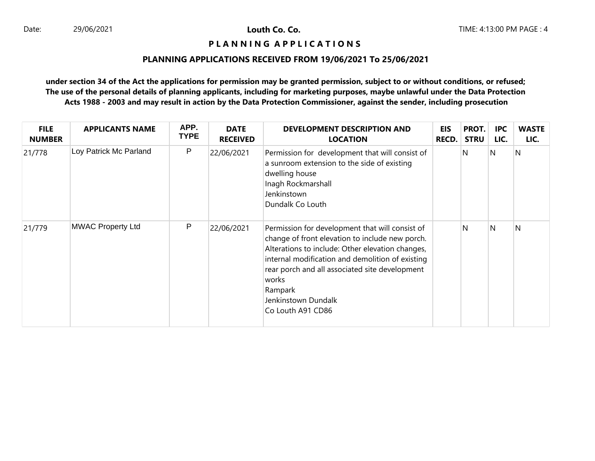## **P L A N N I N G A P P L I C A T I O N S**

# **PLANNING APPLICATIONS RECEIVED FROM 19/06/2021 To 25/06/2021**

| <b>FILE</b><br><b>NUMBER</b> | <b>APPLICANTS NAME</b>   | APP.<br><b>TYPE</b> | <b>DATE</b><br><b>RECEIVED</b> | <b>DEVELOPMENT DESCRIPTION AND</b><br><b>LOCATION</b>                                                                                                                                                                                                                                                                        | <b>EIS</b><br><b>RECD.</b> | PROT.<br><b>STRU</b> | <b>IPC</b><br>LIC. | <b>WASTE</b><br>LIC. |
|------------------------------|--------------------------|---------------------|--------------------------------|------------------------------------------------------------------------------------------------------------------------------------------------------------------------------------------------------------------------------------------------------------------------------------------------------------------------------|----------------------------|----------------------|--------------------|----------------------|
| 21/778                       | Loy Patrick Mc Parland   | P                   | 22/06/2021                     | Permission for development that will consist of<br>a sunroom extension to the side of existing<br>dwelling house<br>Inagh Rockmarshall<br>Jenkinstown<br>Dundalk Co Louth                                                                                                                                                    |                            | N                    | N                  | N                    |
| 21/779                       | <b>MWAC Property Ltd</b> | P                   | 22/06/2021                     | Permission for development that will consist of<br>change of front elevation to include new porch.<br>Alterations to include: Other elevation changes,<br>internal modification and demolition of existing<br>rear porch and all associated site development<br>works<br>Rampark<br>Jenkinstown Dundalk<br>Co Louth A91 CD86 |                            | N                    | N                  | N                    |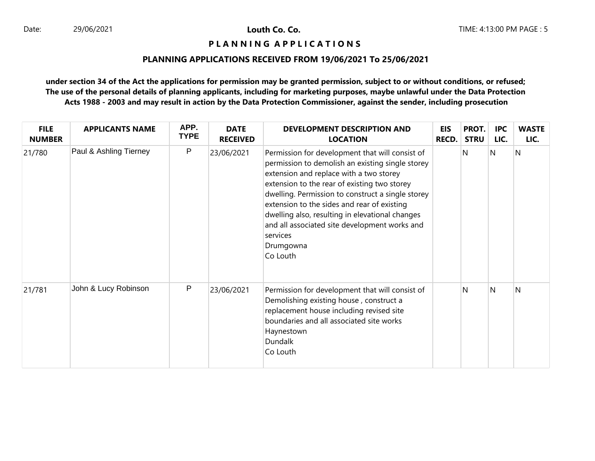#### **P L A N N I N G A P P L I C A T I O N S**

# **PLANNING APPLICATIONS RECEIVED FROM 19/06/2021 To 25/06/2021**

| <b>FILE</b><br><b>NUMBER</b> | <b>APPLICANTS NAME</b> | APP.<br><b>TYPE</b> | <b>DATE</b><br><b>RECEIVED</b> | DEVELOPMENT DESCRIPTION AND<br><b>LOCATION</b>                                                                                                                                                                                                                                                                                                                                                                                              | <b>EIS</b><br><b>RECD.</b> | PROT.<br><b>STRU</b> | <b>IPC</b><br>LIC. | <b>WASTE</b><br>LIC. |
|------------------------------|------------------------|---------------------|--------------------------------|---------------------------------------------------------------------------------------------------------------------------------------------------------------------------------------------------------------------------------------------------------------------------------------------------------------------------------------------------------------------------------------------------------------------------------------------|----------------------------|----------------------|--------------------|----------------------|
| 21/780                       | Paul & Ashling Tierney | $\mathsf{P}$        | 23/06/2021                     | Permission for development that will consist of<br>permission to demolish an existing single storey<br>extension and replace with a two storey<br>extension to the rear of existing two storey<br>dwelling. Permission to construct a single storey<br>extension to the sides and rear of existing<br>dwelling also, resulting in elevational changes<br>and all associated site development works and<br>services<br>Drumgowna<br>Co Louth |                            | N                    | N                  | $\overline{N}$       |
| 21/781                       | John & Lucy Robinson   | $\mathsf{P}$        | 23/06/2021                     | Permission for development that will consist of<br>Demolishing existing house, construct a<br>replacement house including revised site<br>boundaries and all associated site works<br>Haynestown<br>Dundalk<br>Co Louth                                                                                                                                                                                                                     |                            | N                    | N                  | N                    |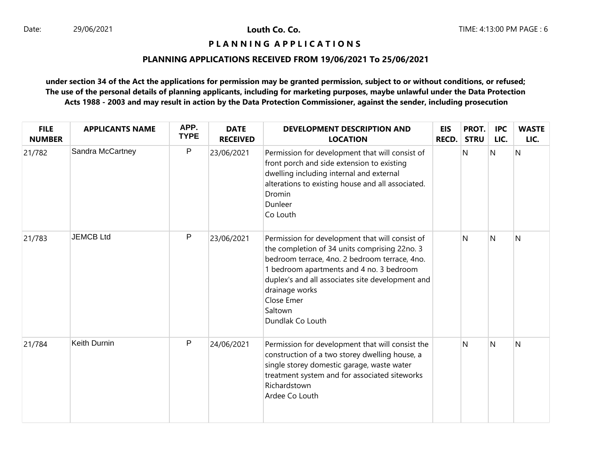## **P L A N N I N G A P P L I C A T I O N S**

# **PLANNING APPLICATIONS RECEIVED FROM 19/06/2021 To 25/06/2021**

| <b>FILE</b><br><b>NUMBER</b> | <b>APPLICANTS NAME</b> | APP.<br><b>TYPE</b> | <b>DATE</b><br><b>RECEIVED</b> | <b>DEVELOPMENT DESCRIPTION AND</b><br><b>LOCATION</b>                                                                                                                                                                                                                                                            | <b>EIS</b><br>RECD. | PROT.<br><b>STRU</b> | <b>IPC</b><br>LIC. | <b>WASTE</b><br>LIC. |
|------------------------------|------------------------|---------------------|--------------------------------|------------------------------------------------------------------------------------------------------------------------------------------------------------------------------------------------------------------------------------------------------------------------------------------------------------------|---------------------|----------------------|--------------------|----------------------|
| 21/782                       | Sandra McCartney       | P                   | 23/06/2021                     | Permission for development that will consist of<br>front porch and side extension to existing<br>dwelling including internal and external<br>alterations to existing house and all associated.<br>Dromin<br>Dunleer<br>Co Louth                                                                                  |                     | Ν                    | N                  | N                    |
| 21/783                       | <b>JEMCB Ltd</b>       | $\mathsf{P}$        | 23/06/2021                     | Permission for development that will consist of<br>the completion of 34 units comprising 22no. 3<br>bedroom terrace, 4no. 2 bedroom terrace, 4no.<br>1 bedroom apartments and 4 no. 3 bedroom<br>duplex's and all associates site development and<br>drainage works<br>Close Emer<br>Saltown<br>Dundlak Co Louth |                     | N                    | <sup>N</sup>       | N                    |
| 21/784                       | Keith Durnin           | P                   | 24/06/2021                     | Permission for development that will consist the<br>construction of a two storey dwelling house, a<br>single storey domestic garage, waste water<br>treatment system and for associated siteworks<br>Richardstown<br>Ardee Co Louth                                                                              |                     | N                    | N                  | N                    |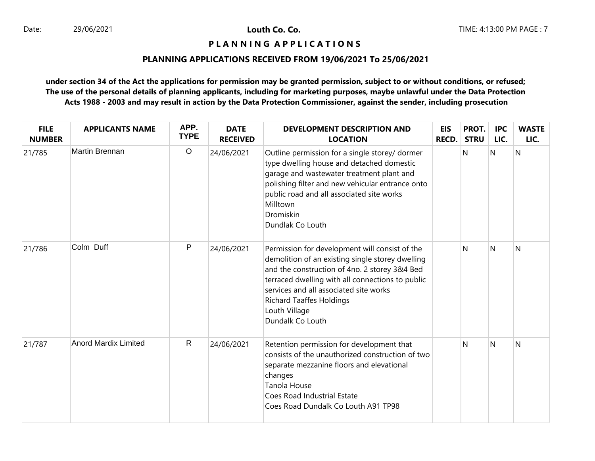## **P L A N N I N G A P P L I C A T I O N S**

# **PLANNING APPLICATIONS RECEIVED FROM 19/06/2021 To 25/06/2021**

| <b>FILE</b><br><b>NUMBER</b> | <b>APPLICANTS NAME</b>      | APP.<br><b>TYPE</b> | <b>DATE</b><br><b>RECEIVED</b> | <b>DEVELOPMENT DESCRIPTION AND</b><br><b>LOCATION</b>                                                                                                                                                                                                                                                                     | <b>EIS</b><br><b>RECD.</b> | PROT.<br><b>STRU</b> | <b>IPC</b><br>LIC. | <b>WASTE</b><br>LIC. |
|------------------------------|-----------------------------|---------------------|--------------------------------|---------------------------------------------------------------------------------------------------------------------------------------------------------------------------------------------------------------------------------------------------------------------------------------------------------------------------|----------------------------|----------------------|--------------------|----------------------|
| 21/785                       | Martin Brennan              | $\circ$             | 24/06/2021                     | Outline permission for a single storey/ dormer<br>type dwelling house and detached domestic<br>garage and wastewater treatment plant and<br>polishing filter and new vehicular entrance onto<br>public road and all associated site works<br>Milltown<br>Dromiskin<br>Dundlak Co Louth                                    |                            | N                    | N                  | N                    |
| 21/786                       | Colm Duff                   | P                   | 24/06/2021                     | Permission for development will consist of the<br>demolition of an existing single storey dwelling<br>and the construction of 4no. 2 storey 3&4 Bed<br>terraced dwelling with all connections to public<br>services and all associated site works<br><b>Richard Taaffes Holdings</b><br>Louth Village<br>Dundalk Co Louth |                            | N                    | N                  | N                    |
| 21/787                       | <b>Anord Mardix Limited</b> | $\mathsf{R}$        | 24/06/2021                     | Retention permission for development that<br>consists of the unauthorized construction of two<br>separate mezzanine floors and elevational<br>changes<br>Tanola House<br>Coes Road Industrial Estate<br>Coes Road Dundalk Co Louth A91 TP98                                                                               |                            | N                    | N                  | N                    |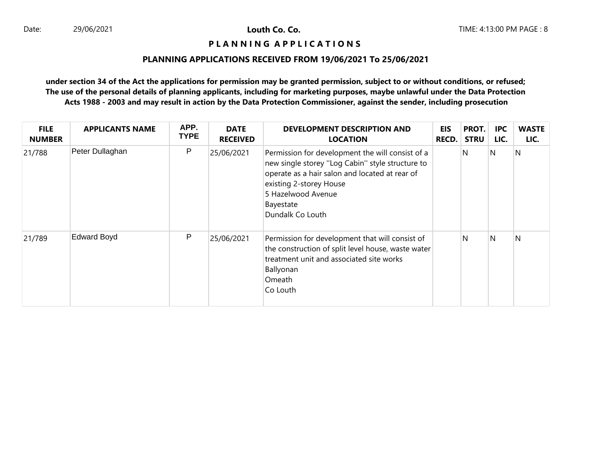## **P L A N N I N G A P P L I C A T I O N S**

# **PLANNING APPLICATIONS RECEIVED FROM 19/06/2021 To 25/06/2021**

| <b>FILE</b><br><b>NUMBER</b> | <b>APPLICANTS NAME</b> | APP.<br><b>TYPE</b> | <b>DATE</b><br><b>RECEIVED</b> | <b>DEVELOPMENT DESCRIPTION AND</b><br><b>LOCATION</b>                                                                                                                                                                                    | <b>EIS</b><br><b>RECD.</b> | PROT.<br><b>STRU</b> | <b>IPC</b><br>LIC. | <b>WASTE</b><br>LIC. |
|------------------------------|------------------------|---------------------|--------------------------------|------------------------------------------------------------------------------------------------------------------------------------------------------------------------------------------------------------------------------------------|----------------------------|----------------------|--------------------|----------------------|
| 21/788                       | Peter Dullaghan        | P                   | 25/06/2021                     | Permission for development the will consist of a<br>new single storey "Log Cabin" style structure to<br>operate as a hair salon and located at rear of<br>existing 2-storey House<br>5 Hazelwood Avenue<br>Bayestate<br>Dundalk Co Louth |                            | N                    | N                  | N                    |
| 21/789                       | <b>Edward Boyd</b>     | $\mathsf{P}$        | 25/06/2021                     | Permission for development that will consist of<br>the construction of split level house, waste water<br>treatment unit and associated site works<br>Ballyonan<br>Omeath<br>Co Louth                                                     |                            | N                    | N                  | N                    |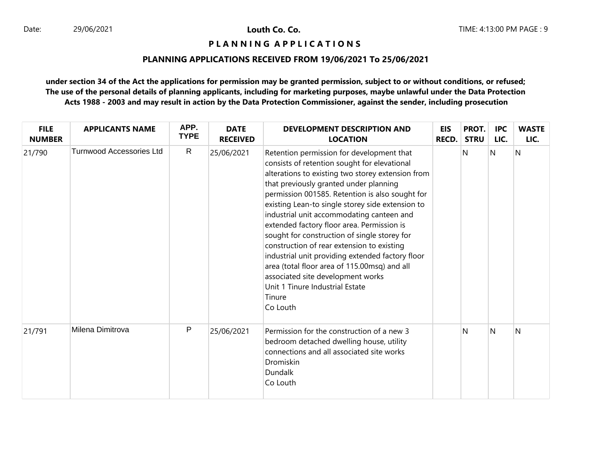## **P L A N N I N G A P P L I C A T I O N S**

# **PLANNING APPLICATIONS RECEIVED FROM 19/06/2021 To 25/06/2021**

| <b>FILE</b><br><b>NUMBER</b> | <b>APPLICANTS NAME</b>          | APP.<br><b>TYPE</b> | <b>DATE</b><br><b>RECEIVED</b> | <b>DEVELOPMENT DESCRIPTION AND</b><br><b>LOCATION</b>                                                                                                                                                                                                                                                                                                                                                                                                                                                                                                                                                                                                                                      | EIS<br><b>RECD.</b> | PROT.<br><b>STRU</b> | <b>IPC</b><br>LIC. | <b>WASTE</b><br>LIC. |
|------------------------------|---------------------------------|---------------------|--------------------------------|--------------------------------------------------------------------------------------------------------------------------------------------------------------------------------------------------------------------------------------------------------------------------------------------------------------------------------------------------------------------------------------------------------------------------------------------------------------------------------------------------------------------------------------------------------------------------------------------------------------------------------------------------------------------------------------------|---------------------|----------------------|--------------------|----------------------|
| 21/790                       | <b>Turnwood Accessories Ltd</b> | $\mathsf{R}$        | 25/06/2021                     | Retention permission for development that<br>consists of retention sought for elevational<br>alterations to existing two storey extension from<br>that previously granted under planning<br>permission 001585. Retention is also sought for<br>existing Lean-to single storey side extension to<br>industrial unit accommodating canteen and<br>extended factory floor area. Permission is<br>sought for construction of single storey for<br>construction of rear extension to existing<br>industrial unit providing extended factory floor<br>area (total floor area of 115.00msq) and all<br>associated site development works<br>Unit 1 Tinure Industrial Estate<br>Tinure<br>Co Louth |                     | N                    | N                  | N                    |
| 21/791                       | Milena Dimitrova                | P                   | 25/06/2021                     | Permission for the construction of a new 3<br>bedroom detached dwelling house, utility<br>connections and all associated site works<br>Dromiskin<br>Dundalk<br>Co Louth                                                                                                                                                                                                                                                                                                                                                                                                                                                                                                                    |                     | N                    | N                  | N                    |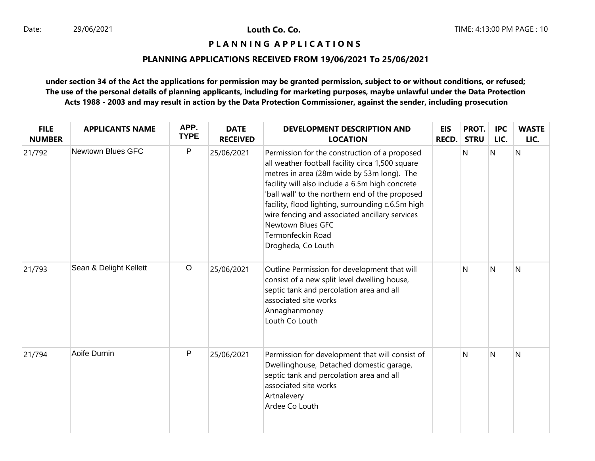## **P L A N N I N G A P P L I C A T I O N S**

## **PLANNING APPLICATIONS RECEIVED FROM 19/06/2021 To 25/06/2021**

| <b>FILE</b><br><b>NUMBER</b> | <b>APPLICANTS NAME</b>   | APP.<br><b>TYPE</b> | <b>DATE</b><br><b>RECEIVED</b> | <b>DEVELOPMENT DESCRIPTION AND</b><br><b>LOCATION</b>                                                                                                                                                                                                                                                                                                                                                                        | <b>EIS</b><br><b>RECD.</b> | PROT.<br><b>STRU</b> | <b>IPC</b><br>LIC.      | <b>WASTE</b><br>LIC. |
|------------------------------|--------------------------|---------------------|--------------------------------|------------------------------------------------------------------------------------------------------------------------------------------------------------------------------------------------------------------------------------------------------------------------------------------------------------------------------------------------------------------------------------------------------------------------------|----------------------------|----------------------|-------------------------|----------------------|
| 21/792                       | <b>Newtown Blues GFC</b> | P                   | 25/06/2021                     | Permission for the construction of a proposed<br>all weather football facility circa 1,500 square<br>metres in area (28m wide by 53m long). The<br>facility will also include a 6.5m high concrete<br>'ball wall' to the northern end of the proposed<br>facility, flood lighting, surrounding c.6.5m high<br>wire fencing and associated ancillary services<br>Newtown Blues GFC<br>Termonfeckin Road<br>Drogheda, Co Louth |                            | N                    | N                       | $\overline{N}$       |
| 21/793                       | Sean & Delight Kellett   | $\circ$             | 25/06/2021                     | Outline Permission for development that will<br>consist of a new split level dwelling house,<br>septic tank and percolation area and all<br>associated site works<br>Annaghanmoney<br>Louth Co Louth                                                                                                                                                                                                                         |                            | N                    | N                       | N                    |
| 21/794                       | Aoife Durnin             | P                   | 25/06/2021                     | Permission for development that will consist of<br>Dwellinghouse, Detached domestic garage,<br>septic tank and percolation area and all<br>associated site works<br>Artnalevery<br>Ardee Co Louth                                                                                                                                                                                                                            |                            | N                    | $\overline{\mathsf{N}}$ | N                    |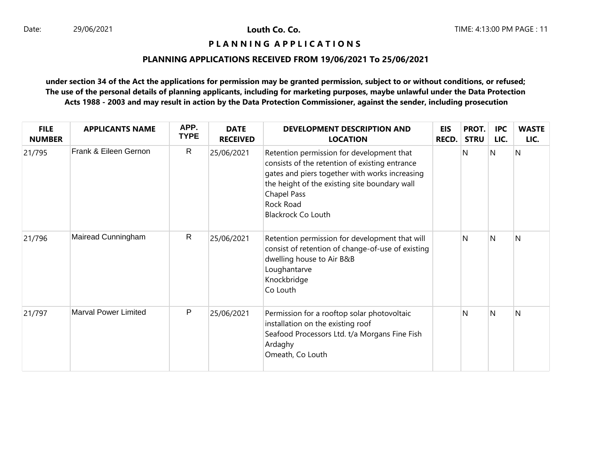# **P L A N N I N G A P P L I C A T I O N S**

# **PLANNING APPLICATIONS RECEIVED FROM 19/06/2021 To 25/06/2021**

| <b>FILE</b><br><b>NUMBER</b> | <b>APPLICANTS NAME</b>      | APP.<br><b>TYPE</b> | <b>DATE</b><br><b>RECEIVED</b> | DEVELOPMENT DESCRIPTION AND<br><b>LOCATION</b>                                                                                                                                                                                                                 | <b>EIS</b><br><b>RECD.</b> | PROT.<br><b>STRU</b> | <b>IPC</b><br>LIC. | <b>WASTE</b><br>LIC. |
|------------------------------|-----------------------------|---------------------|--------------------------------|----------------------------------------------------------------------------------------------------------------------------------------------------------------------------------------------------------------------------------------------------------------|----------------------------|----------------------|--------------------|----------------------|
| 21/795                       | Frank & Eileen Gernon       | $\mathsf{R}$        | 25/06/2021                     | Retention permission for development that<br>consists of the retention of existing entrance<br>gates and piers together with works increasing<br>the height of the existing site boundary wall<br><b>Chapel Pass</b><br>Rock Road<br><b>Blackrock Co Louth</b> |                            | N                    | N                  | N                    |
| 21/796                       | Mairead Cunningham          | $\mathsf{R}$        | 25/06/2021                     | Retention permission for development that will<br>consist of retention of change-of-use of existing<br>dwelling house to Air B&B<br>Loughantarve<br>Knockbridge<br>Co Louth                                                                                    |                            | N                    | N                  | N                    |
| 21/797                       | <b>Marval Power Limited</b> | $\mathsf{P}$        | 25/06/2021                     | Permission for a rooftop solar photovoltaic<br>installation on the existing roof<br>Seafood Processors Ltd. t/a Morgans Fine Fish<br>Ardaghy<br>Omeath, Co Louth                                                                                               |                            | N                    | N                  | N                    |